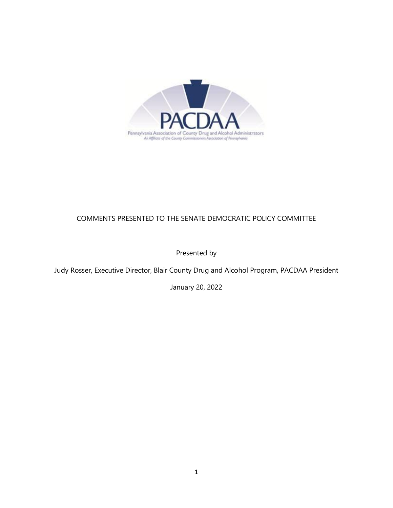

# COMMENTS PRESENTED TO THE SENATE DEMOCRATIC POLICY COMMITTEE

Presented by

Judy Rosser, Executive Director, Blair County Drug and Alcohol Program, PACDAA President

January 20, 2022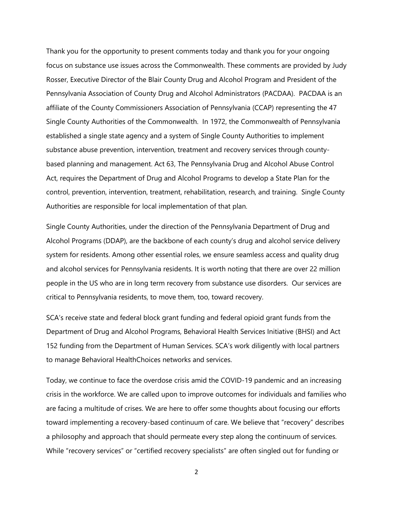Thank you for the opportunity to present comments today and thank you for your ongoing focus on substance use issues across the Commonwealth. These comments are provided by Judy Rosser, Executive Director of the Blair County Drug and Alcohol Program and President of the Pennsylvania Association of County Drug and Alcohol Administrators (PACDAA). PACDAA is an affiliate of the County Commissioners Association of Pennsylvania (CCAP) representing the 47 Single County Authorities of the Commonwealth. In 1972, the Commonwealth of Pennsylvania established a single state agency and a system of Single County Authorities to implement substance abuse prevention, intervention, treatment and recovery services through countybased planning and management. Act 63, The Pennsylvania Drug and Alcohol Abuse Control Act, requires the Department of Drug and Alcohol Programs to develop a State Plan for the control, prevention, intervention, treatment, rehabilitation, research, and training. Single County Authorities are responsible for local implementation of that plan.

Single County Authorities, under the direction of the Pennsylvania Department of Drug and Alcohol Programs (DDAP), are the backbone of each county's drug and alcohol service delivery system for residents. Among other essential roles, we ensure seamless access and quality drug and alcohol services for Pennsylvania residents. It is worth noting that there are over 22 million people in the US who are in long term recovery from substance use disorders. Our services are critical to Pennsylvania residents, to move them, too, toward recovery.

SCA's receive state and federal block grant funding and federal opioid grant funds from the Department of Drug and Alcohol Programs, Behavioral Health Services Initiative (BHSI) and Act 152 funding from the Department of Human Services. SCA's work diligently with local partners to manage Behavioral HealthChoices networks and services.

Today, we continue to face the overdose crisis amid the COVID-19 pandemic and an increasing crisis in the workforce. We are called upon to improve outcomes for individuals and families who are facing a multitude of crises. We are here to offer some thoughts about focusing our efforts toward implementing a recovery-based continuum of care. We believe that "recovery" describes a philosophy and approach that should permeate every step along the continuum of services. While "recovery services" or "certified recovery specialists" are often singled out for funding or

2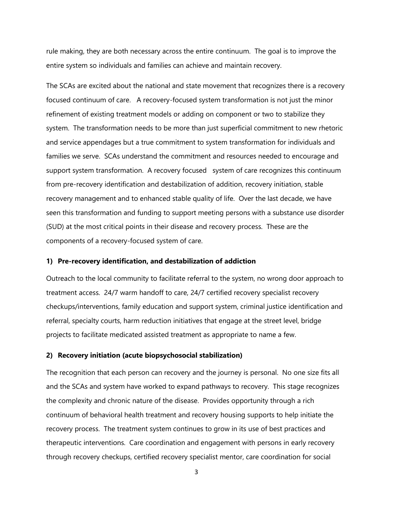rule making, they are both necessary across the entire continuum. The goal is to improve the entire system so individuals and families can achieve and maintain recovery.

The SCAs are excited about the national and state movement that recognizes there is a recovery focused continuum of care. A recovery-focused system transformation is not just the minor refinement of existing treatment models or adding on component or two to stabilize they system. The transformation needs to be more than just superficial commitment to new rhetoric and service appendages but a true commitment to system transformation for individuals and families we serve. SCAs understand the commitment and resources needed to encourage and support system transformation. A recovery focused system of care recognizes this continuum from pre-recovery identification and destabilization of addition, recovery initiation, stable recovery management and to enhanced stable quality of life. Over the last decade, we have seen this transformation and funding to support meeting persons with a substance use disorder (SUD) at the most critical points in their disease and recovery process. These are the components of a recovery-focused system of care.

### **1) Pre-recovery identification, and destabilization of addiction**

Outreach to the local community to facilitate referral to the system, no wrong door approach to treatment access. 24/7 warm handoff to care, 24/7 certified recovery specialist recovery checkups/interventions, family education and support system, criminal justice identification and referral, specialty courts, harm reduction initiatives that engage at the street level, bridge projects to facilitate medicated assisted treatment as appropriate to name a few.

#### **2) Recovery initiation (acute biopsychosocial stabilization)**

The recognition that each person can recovery and the journey is personal. No one size fits all and the SCAs and system have worked to expand pathways to recovery. This stage recognizes the complexity and chronic nature of the disease. Provides opportunity through a rich continuum of behavioral health treatment and recovery housing supports to help initiate the recovery process. The treatment system continues to grow in its use of best practices and therapeutic interventions. Care coordination and engagement with persons in early recovery through recovery checkups, certified recovery specialist mentor, care coordination for social

3